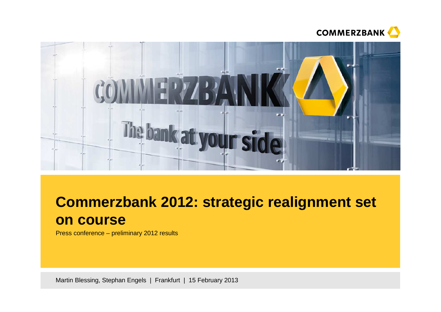



# **Commerzbank 2012: strategic realignment set on course**

Press conference – preliminary 2012 results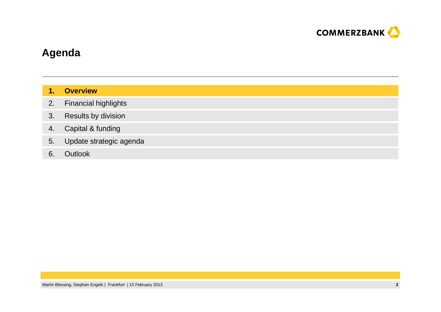

# **Agenda**

| T. | <b>Overview</b> |
|----|-----------------|
|    |                 |
|    |                 |

- 2.Financial highlights
- 3.Results by division
- 4.Capital & funding
- 5.Update strategic agenda
- 6.**Outlook**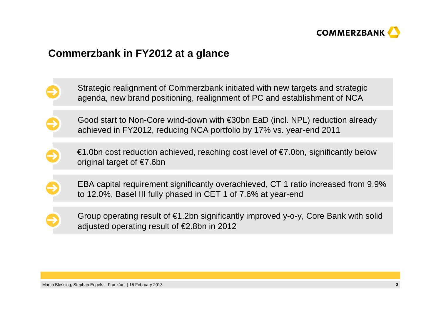

# **Commerzbank in FY2012 at a glance**

- Strategic realignment of Commerzbank initiated with new targets and strategicagenda, new brand positioning, realignment of PC and establishment of NCA
- Good start to Non-Core wind-down with €30bn EaD (incl. NPL) reduction already achieved in FY2012, reducing NCA portfolio by 17% vs. year-end 2011
	- $€1.0$ bn cost reduction achieved, reaching cost level of  $€7.0$ bn, significantly below original target of €7.6bn
- EBA capital requirement significantly overachieved, CT 1 ratio increased from 9.9% to 12.0%, Basel III fully phased in CET 1 of 7.6% at year-end
	- Group operating result of €1.2bn significantly improved y-o-y, Core Bank with solid adjusted operating result of €2.8bn in 2012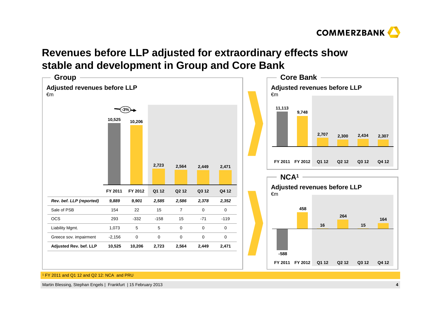

# **Revenues before LLP adjusted for extraordinary effects showstable and development in Group and Core Bank**



1 FY 2011 and Q1 12 and Q2 12: NCA and PRU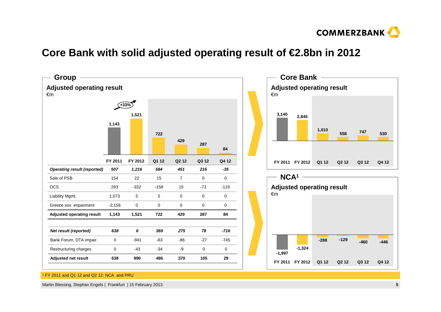

# **Core Bank with solid adjusted operating result of €2.8bn in 2012**



1 FY 2011 and Q1 12 and Q2 12: NCA and PRU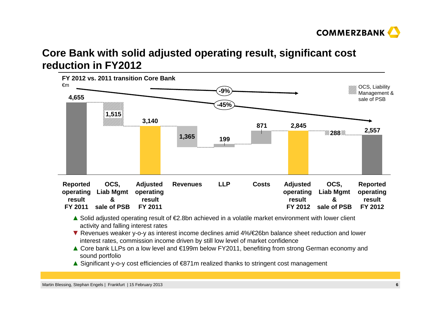

# **Core Bank with solid adjusted operating result, significant costreduction in FY2012**



- **▲** Solid adjusted operating result of €2.8bn achieved in a volatile market environment with lower client activity and falling interest rates activity and falling interest rates
- ▼ Revenues weaker y-o-y as interest income declines amid 4%/€26bn balance sheet reduction and lower<br>interest rates, commission income driven by still low level of market confidence interest rates, commission income driven by still low level of market confidence
- **▲** Core bank LLPs on a low level and €199m below FY2011, benefiting from strong German economy and sound portfolio
- **▲** Significant y-o-y cost efficiencies of €871m realized thanks to stringent cost management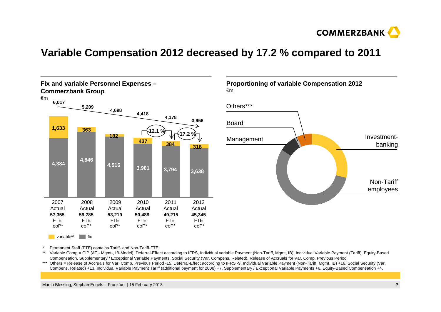

# **Variable Compensation 2012 decreased by 17.2 % compared to 2011**



**Proportioning of variable Compensation 2012**€m



\*Permanent Staff (FTE) contains Tariff- and Non-Tariff-FTE.

\*\* Variable Comp.= CIP (AT,- Mgmt-, IB-Model), Deferral-Effect according to IFRS, Individual variable Payment (Non-Tariff, Mgmt, IB), Individual Variable Payment (Tariff), Equity-BasedCompensation, Supplementary / Exceptional Variable Payments, Social Security (Var. Compens. Related), Release of Accruals for Var. Comp. Previous Period

 \*\*\* Others = Release of Accruals for Var. Comp. Previous Period -15, Deferral-Effect according to IFRS -9, Individual Variable Payment (Non-Tariff, Mgmt, IB) +16, Social Security (Var. Compens. Related) +13, Individual Variable Payment Tariff (additional payment for 2008) +7, Supplementary / Exceptional Variable Payments +6, Equity-Based Compensation +4.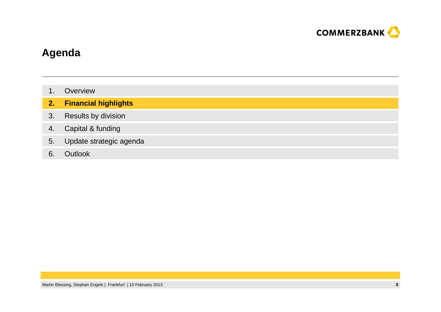

# **Agenda**

- 1.**Overview**
- **2.Financial highlights**
- 3.Results by division
- 4.Capital & funding
- 5.Update strategic agenda
- 6.**Outlook**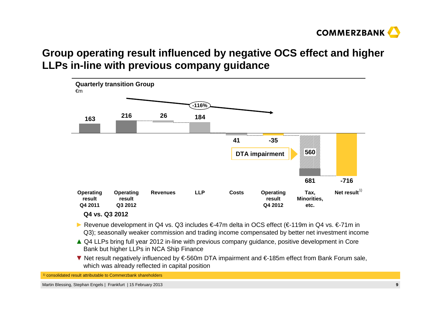

# **Group operating result influenced by negative OCS effect and higher LLPs in-line with previous company guidance**



- **►** Revenue development in Q4 vs. Q3 includes €-47m delta in OCS effect (€-119m in Q4 vs. €-71m in Q3); seasonally weaker commission and trading income compensated by better net investment income
- ▲ Q4 LLPs bring full year 2012 in-line with previous company guidance, positive development in Core<br>Rank but bigher LLPs in NCA Shin Finance Bank but higher LLPs in NCA Ship Finance
- ▼ Net result negatively influenced by €-560m DTA impairment and €-185m effect from Bank Forum sale,<br>which was already reflected in capital position which was already reflected in capital position

<sup>1)</sup> consolidated result attributable to Commerzbank shareholders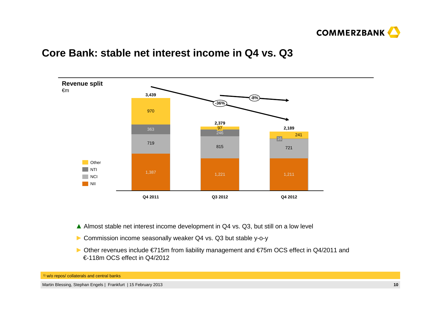

# **Core Bank: stable net interest income in Q4 vs. Q3**



- **▲** Almost stable net interest income development in Q4 vs. Q3, but still on a low level
- **►** Commission income seasonally weaker Q4 vs. Q3 but stable y-o-y
- **►** Other revenues include €715m from liability management and €75m OCS effect in Q4/2011 and €-118m OCS effect in Q4/2012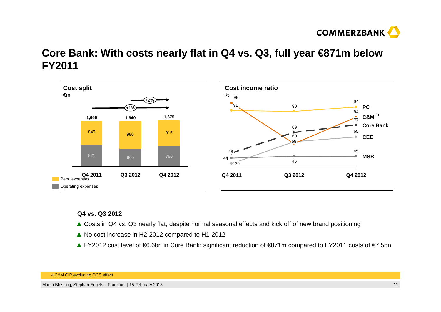

# **Core Bank: With costs nearly flat in Q4 vs. Q3, full year €871m below FY2011**



### **Q4 vs. Q3 2012**

- **▲** Costs in Q4 vs. Q3 nearly flat, despite normal seasonal effects and kick off of new brand positioning
- **▲** No cost increase in H2-2012 compared to H1-2012
- **▲** FY2012 cost level of €6.6bn in Core Bank: significant reduction of €871m compared to FY2011 costs of €7.5bn

1) C&M CIR excluding OCS effect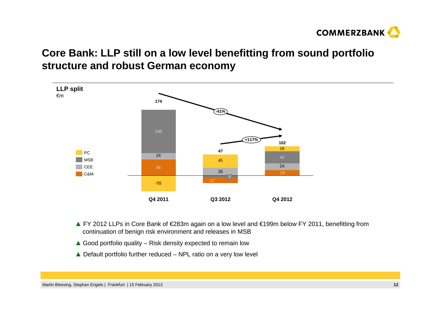

# **Core Bank: LLP still on a low level benefitting from sound portfolio structure and robust German economy**



- **▲** FY 2012 LLPs in Core Bank of €283m again on a low level and €199m below FY 2011, benefitting from continuation of benign risk environment and releases in MSB
- **▲** Good portfolio quality Risk density expected to remain low
- **▲** Default portfolio further reduced NPL ratio on a very low level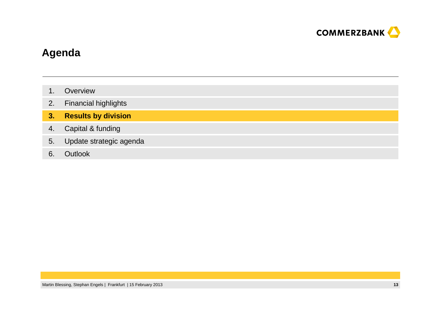

# **Agenda**

- 1.**Overview**
- 2.Financial highlights
- **3.Results by division**
- 4.Capital & funding
- 5.Update strategic agenda
- 6.**Outlook**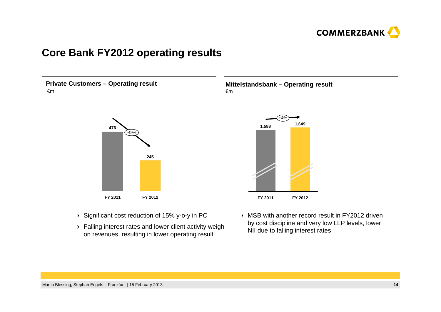

# **Core Bank FY2012 operating results**

**Private Customers – Operating result**€m



- > Significant cost reduction of 15% y-o-y in PC
- > Falling interest rates and lower client activity weigh on revenues, resulting in lower operating result

**Mittelstandsbank – Operating result**€m



MSB with another record result in FY2012 driven by cost discipline and very low LLP levels, lower NII due to falling interest rates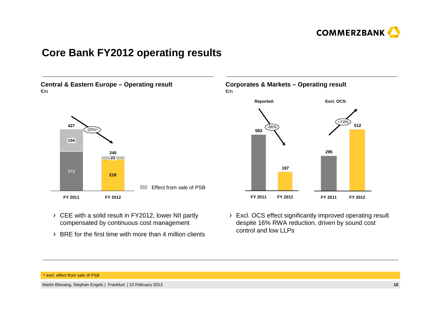

# **Core Bank FY2012 operating results**

**Central & Eastern Europe – Operating result**€m



- CEE with a solid result in FY2012, lower NII partlycompensated by continuous cost management
- > BRE for the first time with more than 4 million clients

### **Corporates & Markets – Operating result**€m



Excl. OCS effect significantly improved operating result despite 16% RWA reduction, driven by sound cost control and low LLPs

### <sup>1)</sup> excl. effect from sale of PSB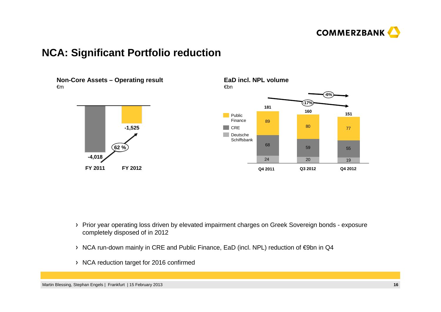

# **NCA: Significant Portfolio reduction**



- Prior year operating loss driven by elevated impairment charges on Greek Sovereign bonds exposure completely disposed of in 2012
- NCA run-down mainly in CRE and Public Finance, EaD (incl. NPL) reduction of €9bn in Q4
- > NCA reduction target for 2016 confirmed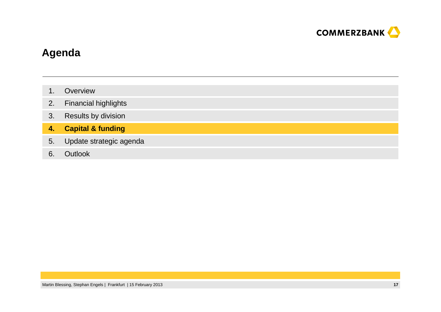

# **Agenda**

- 1.**Overview**
- 2.Financial highlights
- 3.Results by division
- **4.Capital & funding**
- 5.Update strategic agenda
- 6.**Outlook**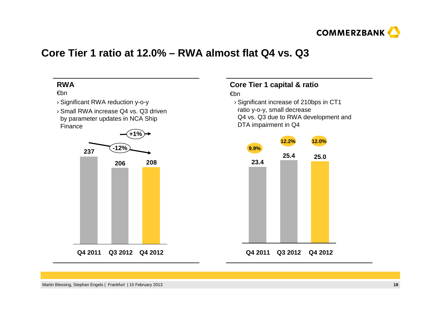

# **Core Tier 1 ratio at 12.0% – RWA almost flat Q4 vs. Q3**



# **Core Tier 1 capital & ratio**

### €bn

 › Significant increase of 210bps in CT1 ratio y-o-y, small decrease Q4 vs. Q3 due to RWA development and DTA impairment in Q4

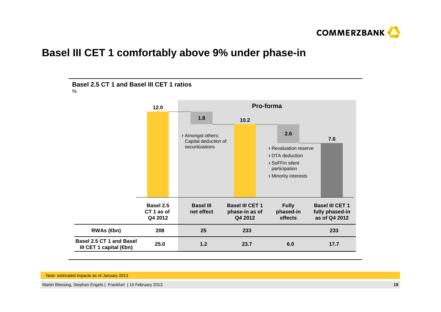

# **Basel III CET 1 comfortably above 9% under phase-in**



Note: estimated impacts as of January 2013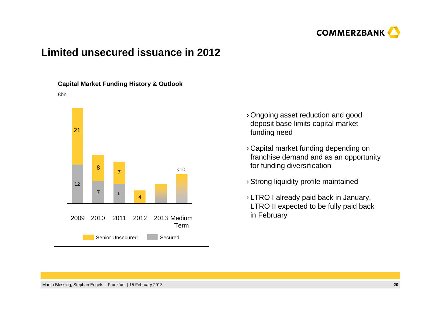

# **Limited unsecured issuance in 2012**

**Capital Market Funding History & Outlook**€bn



- › Ongoing asset reduction and good deposit base limits capital market funding need
- › Capital market funding depending on franchise demand and as an opportunity for funding diversification
- › Strong liquidity profile maintained
- › LTRO I already paid back in January, LTRO II expected to be fully paid back in February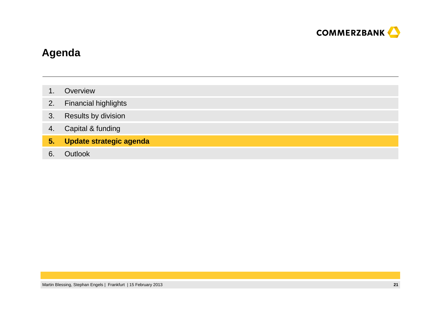

# **Agenda**

- 1.**Overview**
- 2.Financial highlights
- 3.Results by division
- 4.Capital & funding
- **5.Update strategic agenda**
- 6.**Outlook**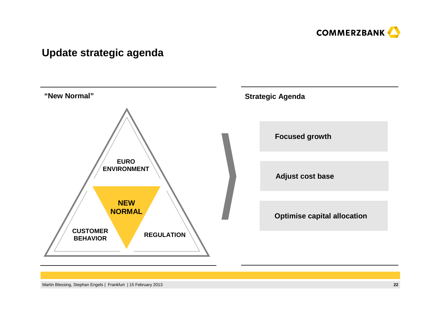

# **Update strategic agenda**

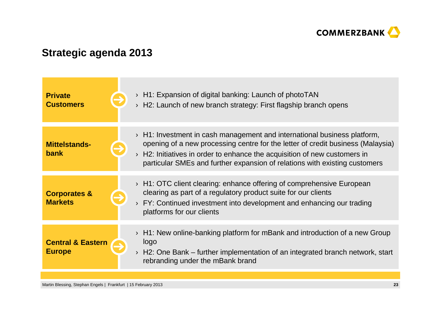

# **Strategic agenda 2013**

| <b>Private</b><br><b>Customers</b>            | $\rightarrow$ H1: Expansion of digital banking: Launch of photoTAN<br>$\rightarrow$ H2: Launch of new branch strategy: First flagship branch opens                                                                                                                                                                                             |
|-----------------------------------------------|------------------------------------------------------------------------------------------------------------------------------------------------------------------------------------------------------------------------------------------------------------------------------------------------------------------------------------------------|
| <b>Mittelstands-</b><br><b>bank</b>           | $\rightarrow$ H1: Investment in cash management and international business platform,<br>opening of a new processing centre for the letter of credit business (Malaysia)<br>$\rightarrow$ H2: Initiatives in order to enhance the acquisition of new customers in<br>particular SMEs and further expansion of relations with existing customers |
| <b>Corporates &amp;</b><br><b>Markets</b>     | $\rightarrow$ H1: OTC client clearing: enhance offering of comprehensive European<br>clearing as part of a regulatory product suite for our clients<br>FY: Continued investment into development and enhancing our trading<br>platforms for our clients                                                                                        |
| <b>Central &amp; Eastern</b><br><b>Europe</b> | $\rightarrow$ H1: New online-banking platform for mBank and introduction of a new Group<br>logo<br>H2: One Bank – further implementation of an integrated branch network, start<br>rebranding under the mBank brand                                                                                                                            |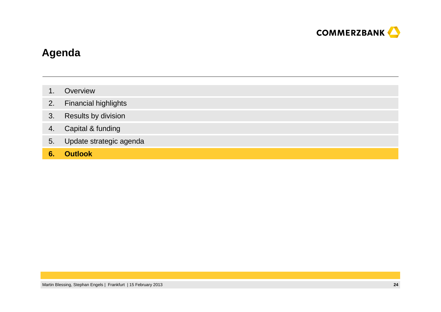

# **Agenda**

- 1.**Overview**
- 2.Financial highlights
- 3.Results by division
- 4.Capital & funding
- 5.Update strategic agenda
- **6.Outlook**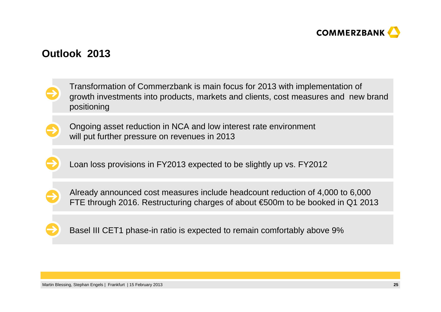

# **Outlook 2013**

Transformation of Commerzbank is main focus for 2013 with implementation of growth investments into products, markets and clients, cost measures and new brand positioning



Ongoing asset reduction in NCA and low interest rate environmentwill put further pressure on revenues in 2013

Loan loss provisions in FY2013 expected to be slightly up vs. FY2012



Already announced cost measures include headcount reduction of 4,000 to 6,000 FTE through 2016. Restructuring charges of about €500m to be booked in Q1 2013



Basel III CET1 phase-in ratio is expected to remain comfortably above 9%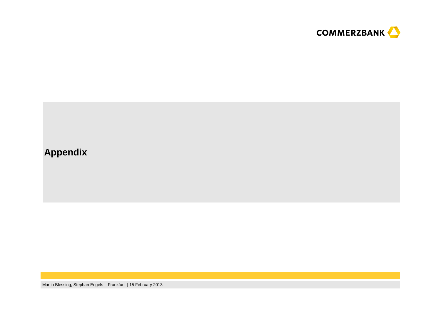

# **Appendix**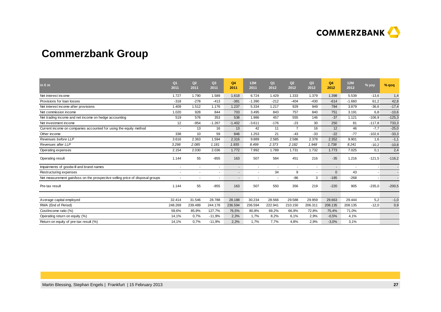

# **Commerzbank Group**

| in $\epsilon$ m                                                               | Q <sub>1</sub><br>2011   | Q2<br>2011 | Q3<br>2011 | Q4<br>2011               | 12M<br>2011    | Q <sub>1</sub><br>2012 | Q2<br>2012     | Q <sub>3</sub><br>2012 | Q4<br>2012   | <b>12M</b><br>2012       | % yoy    | % qoq    |
|-------------------------------------------------------------------------------|--------------------------|------------|------------|--------------------------|----------------|------------------------|----------------|------------------------|--------------|--------------------------|----------|----------|
| Net interest income                                                           | 1.727                    | 1.790      | 1.589      | 1.618                    | 6.724          | 1.429                  | 1.333          | 1.379                  | 1.398        | 5.539                    | $-13.6$  | 1,4      |
| Provisions for loan losses                                                    | $-318$                   | $-278$     | $-413$     | $-381$                   | $-1.390$       | $-212$                 | $-404$         | $-430$                 | $-614$       | $-1.660$                 | 61,2     | 42,8     |
| Net interest income after provisions                                          | 1.409                    | 1.512      | 1.176      | 1.237                    | 5.334          | 1.217                  | 929            | 949                    | 784          | 3.879                    | $-36,6$  | $-17,4$  |
| Net commission income                                                         | 1.020                    | 928        | 844        | 703                      | 3.495          | 843                    | 757            | 840                    | 751          | 3.191                    | 6.8      | $-10,6$  |
| Net trading income and net income on hedge accounting                         | 519                      | 576        | 353        | 538                      | 1.986          | 457                    | 555            | 146                    | $-37$        | 1.121                    | $-106.9$ | $-125,3$ |
| Net investment income                                                         | 12                       | $-954$     | $-1.267$   | $-1.402$                 | $-3.611$       | $-176$                 | $-23$          | 30                     | 250          | 81                       | $-117.8$ | 733,3    |
| Current income on companies accounted for using the equity method             |                          | 13         | 16         | 13                       | 42             | 11                     | $\overline{7}$ | 16                     | 12           | 46                       | $-7,7$   | $-25,0$  |
| Other income                                                                  | 338                      | 10         | 59         | 846                      | 1.253          | 21                     | $-43$          | $-33$                  | $-22$        | $-77$                    | $-102,6$ | $-33,3$  |
| Revenues before LLP                                                           | 3.616                    | 2.363      | 1.594      | 2.316                    | 9.889          | 2.585                  | 2.586          | 2.378                  | 2.352        | 9.901                    | 1,6      | $-1,1$   |
| Revenues after LLP                                                            | 3.298                    | 2.085      | 1.181      | 1.935                    | 8.499          | 2.373                  | 2.182          | 1.948                  | 1.738        | 8.241                    | $-10,2$  | $-10,8$  |
| Operating expenses                                                            | 2.154                    | 2.030      | 2.036      | 1.772                    | 7.992          | 1.789                  | 1.731          | 1.732                  | 1.773        | 7.025                    | 0,1      | 2,4      |
| Operating result                                                              | 1.144                    | 55         | $-855$     | 163                      | 507            | 584                    | 451            | 216                    | $-35$        | 1.216                    | $-121,5$ | $-116,2$ |
| Impairments of goodwill and brand names                                       | $\overline{\phantom{a}}$ | $\sim$     | $\sim$     | $\overline{\phantom{a}}$ | $\blacksquare$ | $\sim$                 | $\sim$         | $\sim$                 | $\sim$       | $\overline{\phantom{a}}$ |          |          |
| Restructuring expenses                                                        |                          |            | ٠          | $\blacksquare$           | ×.             | 34                     | 9              |                        | $\mathbf{0}$ | 43                       |          |          |
| Net measurement gain/loss on the prospective selling price of disposal groups |                          |            | $\sim$     | $\blacksquare$           | $\sim$         | $\sim$                 | $-86$          | 3                      | $-185$       | $-268$                   |          |          |
| Pre-tax result                                                                | 1.144                    | 55         | $-855$     | 163                      | 507            | 550                    | 356            | 219                    | $-220$       | 905                      | $-235,0$ | $-200,5$ |
| Average capital employed                                                      | 32.414                   | 31.546     | 28.788     | 28.188                   | 30.234         | 28.566                 | 29.588         | 29.959                 | 29.663       | 29.444                   | 5,2      | $-1,0$   |
| RWA (End of Period)                                                           | 248.269                  | 239.489    | 244.178    | 236.594                  | 236.594        | 222.941                | 210.150        | 206.311                | 208.135      | 208.135                  | $-12,0$  | 0,9      |
| Cost/income ratio (%)                                                         | 59,6%                    | 85,9%      | 127,7%     | 76,5%                    | 80,8%          | 69,2%                  | 66,9%          | 72,8%                  | 75,4%        | 71,0%                    |          |          |
| Operating return on equity (%)                                                | 14,1%                    | 0.7%       | $-11,9%$   | 2,3%                     | 1,7%           | 8,2%                   | 6,1%           | 2,9%                   | $-0.5%$      | 4,1%                     |          |          |
| Return on equity of pre-tax result (%)                                        | 14,1%                    | 0,7%       | $-11,9%$   | 2,3%                     | 1,7%           | 7,7%                   | 4,8%           | 2,9%                   | $-3,0%$      | 3,1%                     |          |          |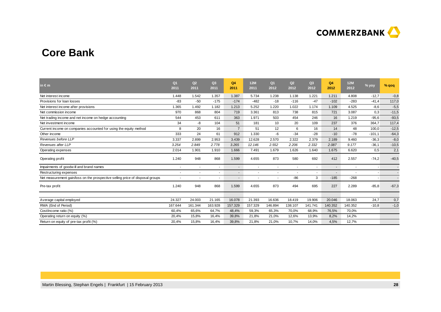

# **Core Bank**

| in $\epsilon$ m                                                               | Q <sub>1</sub><br>2011   | Q2<br>2011     | Q <sub>3</sub><br>2011 | Q <sub>4</sub><br>2011   | 12M<br>2011    | Q <sub>1</sub><br>2012 | Q2<br>2012 | Q <sub>3</sub><br>2012   | Q4<br>2012 | <b>12M</b><br>2012 | % yoy    | $%$ qoq |
|-------------------------------------------------------------------------------|--------------------------|----------------|------------------------|--------------------------|----------------|------------------------|------------|--------------------------|------------|--------------------|----------|---------|
| Net interest income                                                           | 1.448                    | 1.542          | 1.357                  | 1.387                    | 5.734          | 1.238                  | 1.138      | 1.221                    | 1.211      | 4.808              | $-12,7$  | $-0,8$  |
| Provisions for loan losses                                                    | $-83$                    | $-50$          | $-175$                 | $-174$                   | $-482$         | $-18$                  | $-116$     | $-47$                    | $-102$     | $-283$             | $-41,4$  | 117,0   |
| Net interest income after provisions                                          | 1.365                    | 1.492          | 1.182                  | 1.213                    | 5.252          | 1.220                  | 1.022      | 1.174                    | 1.109      | 4.525              | $-8,6$   | $-5,5$  |
| Net commission income                                                         | 970                      | 868            | 804                    | 719                      | 3.361          | 813                    | 738        | 815                      | 721        | 3.087              | 0,3      | $-11,5$ |
| Net trading income and net income on hedge accounting                         | 544                      | 453            | 611                    | 363                      | 1.971          | 503                    | 454        | 246                      | 16         | 1.219              | $-95,6$  | $-93,5$ |
| Net investment income                                                         | 34                       | -8             | 104                    | 51                       | 181            | 10                     | 20         | 109                      | 237        | 376                | 364,7    | 117,4   |
| Current income on companies accounted for using the equity method             | 8                        | 20             | 16                     | $\overline{7}$           | 51             | 12                     | 6          | 16                       | 14         | 48                 | 100,0    | $-12,5$ |
| Other income                                                                  | 333                      | 24             | 61                     | 912                      | 1.330          | -6                     | $-34$      | $-28$                    | $-10$      | $-78$              | $-101,1$ | $-64,3$ |
| Revenues before LLP                                                           | 3.337                    | 2.899          | 2.953                  | 3.439                    | 12.628         | 2.570                  | 2.322      | 2.379                    | 2.189      | 9.460              | $-36,3$  | $-8,0$  |
| Revenues after LLP                                                            | 3.254                    | 2.849          | 2.778                  | 3.265                    | 12.146         | 2.552                  | 2.206      | 2.332                    | 2.087      | 9.177              | $-36,1$  | $-10,5$ |
| Operating expenses                                                            | 2.014                    | 1.901          | 1.910                  | 1.666                    | 7.491          | 1.679                  | 1.626      | 1.640                    | 1.675      | 6.620              | 0,5      | 2,1     |
| Operating profit                                                              | 1.240                    | 948            | 868                    | 1.599                    | 4.655          | 873                    | 580        | 692                      | 412        | 2.557              | $-74,2$  | $-40,5$ |
| Impairments of goodwill and brand names                                       |                          |                | $\sim$                 | $\blacksquare$           | $\blacksquare$ | $\blacksquare$         |            |                          |            | $\blacksquare$     |          |         |
| Restructuring expenses                                                        | $\overline{\phantom{a}}$ | $\overline{a}$ | $\sim$                 | $\overline{\phantom{a}}$ | ٠              | $\sim$                 | $\sim$     | $\overline{\phantom{a}}$ | $\sim$     | ٠                  |          |         |
| Net measurement gain/loss on the prospective selling price of disposal groups |                          |                | ٠                      | $\blacksquare$           |                |                        | $-86$      | 3                        | $-185$     | $-268$             |          |         |
| Pre-tax profit                                                                | 1.240                    | 948            | 868                    | 1.599                    | 4.655          | 873                    | 494        | 695                      | 227        | 2.289              | $-85,8$  | $-67,3$ |
| Average capital employed                                                      | 24.327                   | 24.003         | 21.165                 | 16.078                   | 21.393         | 16.636                 | 18.419     | 19.906                   | 20.046     | 18.063             | 24,7     | 0,7     |
| RWA (End of Period)                                                           | 167.644                  | 161.344        | 163.928                | 157.329                  | 157.329        | 146.894                | 138.107    | 141.741                  | 140.352    | 140.352            | $-10,8$  | $-1,0$  |
| Cost/income ratio (%)                                                         | 60,4%                    | 65,6%          | 64,7%                  | 48,4%                    | 59,3%          | 65,3%                  | 70,0%      | 68,9%                    | 76,5%      | 70,0%              |          |         |
| Operating return on equity (%)                                                | 20,4%                    | 15,8%          | 16,4%                  | 39,8%                    | 21,8%          | 21,0%                  | 12,6%      | 13,9%                    | 8,2%       | 14,2%              |          |         |
| Return on equity of pre-tax profit (%)                                        | 20,4%                    | 15,8%          | 16,4%                  | 39,8%                    | 21,8%          | 21,0%                  | 10,7%      | 14,0%                    | 4,5%       | 12,7%              |          |         |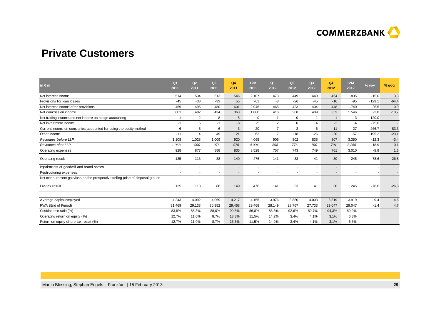

# **Private Customers**

| in $\epsilon$ m                                                               | Q <sub>1</sub><br>2011   | Q2<br>2011               | Q <sub>3</sub><br>2011 | Q <sub>4</sub><br>2011   | 12M<br>2011              | Q <sub>1</sub><br>2012   | Q2<br>2012               | Q <sub>3</sub><br>2012 | Q4<br>2012 | <b>12M</b><br>2012       | % yoy                    | $%$ qoq |
|-------------------------------------------------------------------------------|--------------------------|--------------------------|------------------------|--------------------------|--------------------------|--------------------------|--------------------------|------------------------|------------|--------------------------|--------------------------|---------|
| Net interest income                                                           | 514                      | 534                      | 513                    | 546                      | 2.107                    | 473                      | 449                      | 449                    | 464        | 1.835                    | $-15,0$                  | 3,3     |
| Provisions for loan losses                                                    | $-45$                    | $-38$                    | $-33$                  | 55                       | $-61$                    | -8                       | $-26$                    | $-45$                  | $-16$      | $-95$                    | $-129,1$                 | $-64,4$ |
| Net interest income after provisions                                          | 469                      | 496                      | 480                    | 601                      | 2.046                    | 465                      | 423                      | 404                    | 448        | 1.740                    | $-25,5$                  | 10,9    |
| Net commission income                                                         | 601                      | 482                      | 434                    | 363                      | 1.880                    | 416                      | 368                      | 409                    | 353        | 1.546                    | $-2,8$                   | $-13,7$ |
| Net trading income and net income on hedge accounting                         | -1                       | $-2$                     | 8                      | $-5$                     | $-0$                     |                          | -0                       | -1                     | -1         | 3                        | $-120,0$                 |         |
| Net investment income                                                         | -1                       | 5                        | $-1$                   | -8                       | $-5$                     | 2                        | $\mathbf 0$              | $-4$                   | $-2$       | $-4$                     | $-75,0$                  |         |
| Current income on companies accounted for using the equity method             | 6                        | 5                        | 6                      | 3                        | 20                       | $\overline{7}$           | 3                        | 6                      | 11         | 27                       | 266,7                    | 83,3    |
| Other income                                                                  | $-11$                    | 4                        | 49                     | 21                       | 63                       | $\overline{7}$           | $-18$                    | $-26$                  | $-20$      | $-57$                    | $-195,2$                 | $-23,1$ |
| Revenues before LLP                                                           | 1.108                    | 1.028                    | 1.009                  | 920                      | 4.065                    | 906                      | 802                      | 835                    | 807        | 3.350                    | $-12,3$                  | $-3,4$  |
| Revenues after LLP                                                            | 1.063                    | 990                      | 976                    | 975                      | 4.004                    | 898                      | 776                      | 790                    | 791        | 3.255                    | $-18,9$                  | 0,1     |
| Operating expenses                                                            | 928                      | 877                      | 888                    | 835                      | 3.528                    | 757                      | 743                      | 749                    | 761        | 3.010                    | $-8,9$                   | 1,6     |
| Operating result                                                              | 135                      | 113                      | 88                     | 140                      | 476                      | 141                      | 33                       | 41                     | 30         | 245                      | $-78,6$                  | $-26,8$ |
| Impairments of goodwill and brand names                                       | $\overline{\phantom{a}}$ | $\overline{\phantom{a}}$ | $\sim$                 | $\overline{\phantom{a}}$ | $\blacksquare$           | $\blacksquare$           | $\overline{\phantom{a}}$ |                        | $\sim$     | $\overline{\phantom{a}}$ | $\overline{\phantom{a}}$ |         |
| Restructuring expenses                                                        | $\overline{\phantom{a}}$ | $\overline{\phantom{a}}$ | ٠                      | $\overline{\phantom{a}}$ | $\overline{\phantom{a}}$ | $\overline{\phantom{a}}$ | $\overline{\phantom{a}}$ |                        | $\sim$     | ٠                        |                          |         |
| Net measurement gain/loss on the prospective selling price of disposal groups |                          |                          | $\sim$                 | $\blacksquare$           | ÷                        |                          |                          |                        |            | ٠                        |                          |         |
| Pre-tax result                                                                | 135                      | 113                      | 88                     | 140                      | 476                      | 141                      | 33                       | 41                     | 30         | 245                      | $-78,6$                  | $-26,8$ |
| Average capital employed                                                      | 4.243                    | 4.092                    | 4.069                  | 4.217                    | 4.155                    | 3.976                    | 3.880                    | 4.003                  | 3.819      | 3.919                    | $-9,4$                   | $-4,6$  |
| RWA (End of Period)                                                           | 31.469                   | 29.133                   | 30.952                 | 29.468                   | 29.468                   | 28.149                   | 28.767                   | 27.733                 | 29.047     | 29.047                   | $-1,4$                   | 4,7     |
| Cost/income ratio (%)                                                         | 83,8%                    | 85,3%                    | 88,0%                  | 90,8%                    | 86,8%                    | 83,6%                    | 92,6%                    | 89,7%                  | 94,3%      | 89,9%                    |                          |         |
| Operating return on equity (%)                                                | 12,7%                    | 11,0%                    | 8,7%                   | 13,3%                    | 11,5%                    | 14,2%                    | 3,4%                     | 4,1%                   | 3,1%       | 6,3%                     |                          |         |
| Return on equity of pre-tax result (%)                                        | 12,7%                    | 11,0%                    | 8,7%                   | 13,3%                    | 11,5%                    | 14,2%                    | 3,4%                     | 4,1%                   | 3,1%       | 6,3%                     |                          |         |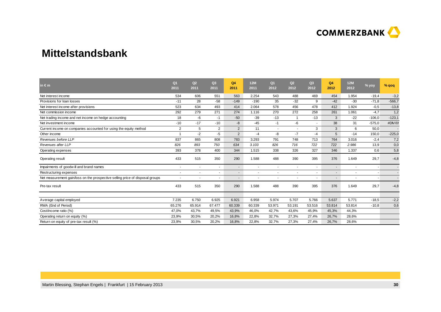

# **Mittelstandsbank**

| in $\epsilon$ m                                                               | Q <sub>1</sub><br>2011   | Q2<br>2011     | Q <sub>3</sub><br>2011   | Q <sub>4</sub><br>2011   | 12M<br>2011    | Q <sub>1</sub><br>2012   | Q2<br>2012               | Q <sub>3</sub><br>2012 | Q4<br>2012 | <b>12M</b><br>2012       | % yoy                    | % qoq    |
|-------------------------------------------------------------------------------|--------------------------|----------------|--------------------------|--------------------------|----------------|--------------------------|--------------------------|------------------------|------------|--------------------------|--------------------------|----------|
| Net interest income                                                           | 534                      | 606            | 551                      | 563                      | 2.254          | 543                      | 488                      | 469                    | 454        | 1.954                    | $-19,4$                  | $-3,2$   |
| Provisions for loan losses                                                    | $-11$                    | 28             | $-58$                    | $-149$                   | $-190$         | 35                       | $-32$                    | 9                      | $-42$      | $-30$                    | $-71,8$                  | $-566,7$ |
| Net interest income after provisions                                          | 523                      | 634            | 493                      | 414                      | 2.064          | 578                      | 456                      | 478                    | 412        | 1.924                    | $-0,5$                   | $-13,8$  |
| Net commission income                                                         | 292                      | 279            | 271                      | 274                      | 1.116          | 270                      | 272                      | 258                    | 261        | 1.061                    | $-4,7$                   | 1,2      |
| Net trading income and net income on hedge accounting                         | 18                       | -6             | -1                       | $-50$                    | $-39$          | $-13$                    | -1                       | $-13$                  | 3          | $-22$                    | $-106,0$                 | $-123,1$ |
| Net investment income                                                         | $-10$                    | $-17$          | $-10$                    | $-8$                     | $-45$          | $-1$                     | -6                       | $\sim$                 | 38         | 31                       | $-575,0$                 | #DIV/0!  |
| Current income on companies accounted for using the equity method             | $\overline{2}$           | 5              | 2                        | 2                        | 11             | $\blacksquare$           | $\overline{\phantom{a}}$ | 3                      | 3          | 6                        | 50,0                     |          |
| Other income                                                                  | $\overline{\mathbf{1}}$  | $-2$           | $-5$                     | 2                        | $-4$           | -8                       | $-7$                     | $-4$                   | 5          | $-14$                    | 150,0                    | $-225,0$ |
| Revenues before LLP                                                           | 837                      | 865            | 808                      | 783                      | 3.293          | 791                      | 748                      | 713                    | 764        | 3.016                    | $-2,4$                   | 7,2      |
| Revenues after LLP                                                            | 826                      | 893            | 750                      | 634                      | 3.103          | 826                      | 716                      | 722                    | 722        | 2.986                    | 13,9                     | 0,0      |
| Operating expenses                                                            | 393                      | 378            | 400                      | 344                      | 1.515          | 338                      | 326                      | 327                    | 346        | 1.337                    | 0,6                      | 5,8      |
| Operating result                                                              | 433                      | 515            | 350                      | 290                      | 1.588          | 488                      | 390                      | 395                    | 376        | 1.649                    | 29,7                     | $-4,8$   |
| Impairments of goodwill and brand names                                       | $\overline{\phantom{a}}$ | $\overline{a}$ | $\sim$                   | $\blacksquare$           | $\blacksquare$ | $\blacksquare$           | $\overline{\phantom{a}}$ |                        | $\sim$     | $\overline{\phantom{a}}$ | $\overline{\phantom{a}}$ |          |
| Restructuring expenses                                                        | $\sim$                   | $\overline{a}$ | $\blacksquare$           | $\overline{\phantom{a}}$ | ٠              | $\overline{\phantom{a}}$ | $\overline{\phantom{a}}$ |                        |            | ٠                        |                          |          |
| Net measurement gain/loss on the prospective selling price of disposal groups |                          |                | $\overline{\phantom{a}}$ | $\overline{\phantom{a}}$ |                |                          |                          |                        |            |                          |                          |          |
| Pre-tax result                                                                | 433                      | 515            | 350                      | 290                      | 1.588          | 488                      | 390                      | 395                    | 376        | 1.649                    | 29,7                     | $-4,8$   |
|                                                                               |                          |                |                          |                          |                |                          |                          |                        |            |                          |                          |          |
| Average capital employed                                                      | 7.235                    | 6.750          | 6.925                    | 6.921                    | 6.958          | 5.974                    | 5.707                    | 5.766                  | 5.637      | 5.771                    | $-18,5$                  | $-2,2$   |
| RWA (End of Period)                                                           | 65.276                   | 65.914         | 67.477                   | 60.339                   | 60.339         | 53.971                   | 53.191                   | 53.516                 | 53.814     | 53.814                   | $-10,8$                  | 0,6      |
| Cost/income ratio (%)                                                         | 47,0%                    | 43,7%          | 49,5%                    | 43,9%                    | 46,0%          | 42,7%                    | 43,6%                    | 45,9%                  | 45,3%      | 44,3%                    |                          |          |
| Operating return on equity (%)                                                | 23,9%                    | 30,5%          | 20,2%                    | 16,8%                    | 22,8%          | 32,7%                    | 27,3%                    | 27,4%                  | 26,7%      | 28,6%                    |                          |          |
| Return on equity of pre-tax result (%)                                        | 23,9%                    | 30,5%          | 20,2%                    | 16,8%                    | 22,8%          | 32,7%                    | 27,3%                    | 27.4%                  | 26.7%      | 28.6%                    |                          |          |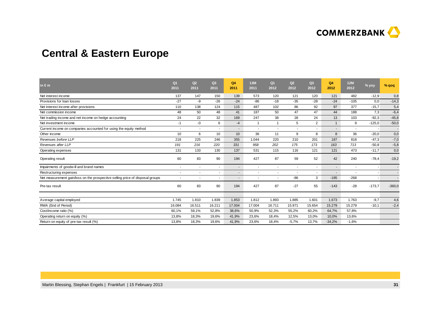

# **Central & Eastern Europe**

| in $\epsilon$ m                                                               | Q <sub>1</sub><br>2011 | Q2<br>2011 | Q <sub>3</sub><br>2011 | Q4<br>2011               | 12M<br>2011    | Q <sub>1</sub><br>2012 | Q2<br>2012               | Q3<br>2012     | Q4<br>2012 | <b>12M</b><br>2012       | % yoy    | $%$ qoq  |
|-------------------------------------------------------------------------------|------------------------|------------|------------------------|--------------------------|----------------|------------------------|--------------------------|----------------|------------|--------------------------|----------|----------|
| Net interest income                                                           | 137                    | 147        | 150                    | 139                      | 573            | 120                    | 121                      | 120            | 121        | 482                      | $-12,9$  | 0,8      |
| Provisions for loan losses                                                    | $-27$                  | -9         | $-26$                  | $-24$                    | -86            | $-18$                  | $-35$                    | $-28$          | $-24$      | $-105$                   | 0,0      | $-14,3$  |
| Net interest income after provisions                                          | 110                    | 138        | 124                    | 115                      | 487            | 102                    | 86                       | 92             | 97         | 377                      | $-15,7$  | 5,4      |
| Net commission income                                                         | 48                     | 50         | 48                     | 41                       | 187            | 50                     | 47                       | 47             | 44         | 188                      | 7,3      | $-6,4$   |
| Net trading income and net income on hedge accounting                         | 24                     | 22         | 32                     | 169                      | 247            | 38                     | 28                       | 24             | 13         | 103                      | $-92,3$  | $-45,8$  |
| Net investment income                                                         | $-1$                   | -0         | 6                      | $-4$                     | -1             | $\overline{1}$         | 5                        | $\overline{2}$ | -1         | 9                        | $-125,0$ | $-50,0$  |
| Current income on companies accounted for using the equity method             |                        | $\sim$     | $\sim$                 | $\blacksquare$           | ٠              | $\sim$                 | $\overline{\phantom{a}}$ |                |            | $\overline{\phantom{a}}$ |          |          |
| Other income                                                                  | 10                     | 6          | 10                     | 10                       | 36             | 11                     | 9                        | 8              | 8          | 36                       | $-20,0$  | 0,0      |
| Revenues before LLP                                                           | 218                    | 225        | 246                    | 355                      | 1.044          | 220                    | 210                      | 201            | 187        | 818                      | $-47,3$  | $-7,0$   |
| Revenues after LLP                                                            | 191                    | 216        | 220                    | 331                      | 958            | 202                    | 175                      | 173            | 163        | 713                      | $-50,8$  | $-5,8$   |
| Operating expenses                                                            | 131                    | 133        | 130                    | 137                      | 531            | 115                    | 116                      | 121            | 121        | 473                      | $-11,7$  | 0,0      |
| Operating result                                                              | 60                     | 83         | 90                     | 194                      | 427            | 87                     | 59                       | 52             | 42         | 240                      | $-78,4$  | $-19,2$  |
| Impairments of goodwill and brand names                                       |                        | $\sim$     | $\sim$                 | $\blacksquare$           | $\blacksquare$ | $\sim$                 | $\overline{\phantom{a}}$ |                | ٠          | $\sim$                   |          |          |
| Restructuring expenses                                                        |                        |            | $\sim$                 | $\blacksquare$           | ٠              | $\sim$                 | $\overline{\phantom{a}}$ |                | $\sim$     | ٠                        |          |          |
| Net measurement gain/loss on the prospective selling price of disposal groups |                        |            | ۰                      | $\overline{\phantom{a}}$ | ٠              | $\sim$                 | $-86$                    | 3              | $-185$     | $-268$                   |          |          |
| Pre-tax result                                                                | 60                     | 83         | 90                     | 194                      | 427            | 87                     | $-27$                    | 55             | $-143$     | $-28$                    | $-173,7$ | $-360,0$ |
|                                                                               |                        |            |                        |                          |                |                        |                          |                |            |                          |          |          |
| Average capital employed                                                      | 1.745                  | 1.810      | 1.839                  | 1.853                    | 1.812          | 1.893                  | 1.885                    | 1.601          | 1.673      | 1.763                    | $-9,7$   | 4,6      |
| RWA (End of Period)                                                           | 16.084                 | 16.511     | 16.211                 | 17.004                   | 17.004         | 16.711                 | 15.971                   | 15.654         | 15.279     | 15.279                   | $-10,1$  | $-2,4$   |
| Cost/income ratio (%)                                                         | 60,1%                  | 59,1%      | 52,8%                  | 38,6%                    | 50,9%          | 52,3%                  | 55,2%                    | 60,2%          | 64,7%      | 57,8%                    |          |          |
| Operating return on equity (%)                                                | 13,8%                  | 18,3%      | 19,6%                  | 41,9%                    | 23,6%          | 18,4%                  | 12,5%                    | 13,0%          | 10,0%      | 13,6%                    |          |          |
| Return on equity of pre-tax result (%)                                        | 13,8%                  | 18,3%      | 19,6%                  | 41,9%                    | 23,6%          | 18,4%                  | $-5,7%$                  | 13,7%          | $-34,2%$   | $-1,6%$                  |          |          |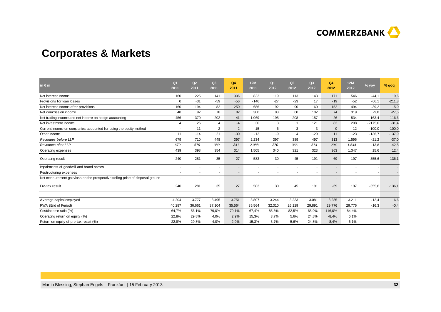

# **Corporates & Markets**

| $\mathsf{in} \in \mathsf{m}$                                                  | Q <sub>1</sub><br>2011   | Q2<br>2011               | Q <sub>3</sub><br>2011 | Q4<br>2011               | <b>12M</b><br>2011 | Q <sub>1</sub><br>2012 | Q2<br>2012               | Q <sub>3</sub><br>2012   | Q4<br>2012               | <b>12M</b><br>2012 | % yoy     | $%$ qoq  |
|-------------------------------------------------------------------------------|--------------------------|--------------------------|------------------------|--------------------------|--------------------|------------------------|--------------------------|--------------------------|--------------------------|--------------------|-----------|----------|
| Net interest income                                                           | 160                      | 225                      | 141                    | 306                      | 832                | 119                    | 113                      | 143                      | 171                      | 546                | $-44,1$   | 19,6     |
| Provisions for loan losses                                                    | 0                        | $-31$                    | $-59$                  | $-56$                    | $-146$             | $-27$                  | $-23$                    | 17                       | $-19$                    | $-52$              | $-66,1$   | $-211,8$ |
| Net interest income after provisions                                          | 160                      | 194                      | 82                     | 250                      | 686                | 92                     | 90                       | 160                      | 152                      | 494                | $-39,2$   | $-5,0$   |
| Net commission income                                                         | 48                       | 92                       | 78                     | 82                       | 300                | 83                     | 60                       | 102                      | 74                       | 319                | $-9,8$    | $-27,5$  |
| Net trading income and net income on hedge accounting                         | 456                      | 370                      | 202                    | 41                       | 1.069              | 195                    | 208                      | 157                      | $-26$                    | 534                | $-163,4$  | $-116,6$ |
| Net investment income                                                         | 4                        | 26                       | 4                      | $-4$                     | 30                 | 3                      | $\overline{\mathbf{1}}$  | 121                      | 83                       | 208                | $-2175,0$ | $-31,4$  |
| Current income on companies accounted for using the equity method             |                          | 11                       | $\overline{2}$         | $\overline{2}$           | 15                 | 6                      | 3                        | 3                        | $\mathbf 0$              | 12                 | $-100,0$  | $-100,0$ |
| Other income                                                                  | 11                       | $-14$                    | 21                     | $-30$                    | $-12$              | -9                     | $\overline{4}$           | $-29$                    | 11                       | $-23$              | $-136,7$  | $-137,9$ |
| Revenues before LLP                                                           | 679                      | 710                      | 448                    | 397                      | 2.234              | 397                    | 389                      | 497                      | 313                      | 1.596              | $-21,2$   | $-37,0$  |
| Revenues after LLP                                                            | 679                      | 679                      | 389                    | 341                      | 2.088              | 370                    | 366                      | 514                      | 294                      | 1.544              | $-13,8$   | $-42,8$  |
| Operating expenses                                                            | 439                      | 398                      | 354                    | 314                      | 1.505              | 340                    | 321                      | 323                      | 363                      | 1.347              | 15,6      | 12,4     |
| Operating result                                                              | 240                      | 281                      | 35                     | 27                       | 583                | 30                     | 45                       | 191                      | $-69$                    | 197                | $-355,6$  | $-136,1$ |
| Impairments of goodwill and brand names                                       | $\overline{\phantom{a}}$ |                          | $\sim$                 | $\blacksquare$           | $\sim$             | $\sim$                 | $\overline{\phantom{a}}$ | $\blacksquare$           |                          |                    |           |          |
| Restructuring expenses                                                        | $\overline{\phantom{a}}$ | $\overline{\phantom{a}}$ | $\sim$                 | $\overline{\phantom{a}}$ | $\sim$             | $\sim$                 | $\overline{\phantom{a}}$ | $\overline{\phantom{a}}$ | $\overline{\phantom{a}}$ |                    |           |          |
| Net measurement gain/loss on the prospective selling price of disposal groups |                          |                          |                        | $\blacksquare$           | ٠                  |                        |                          |                          |                          |                    |           |          |
| Pre-tax result                                                                | 240                      | 281                      | 35                     | 27                       | 583                | 30                     | 45                       | 191                      | $-69$                    | 197                | $-355,6$  | $-136,1$ |
|                                                                               |                          |                          |                        |                          |                    |                        |                          |                          |                          |                    |           |          |
| Average capital employed                                                      | 4.204                    | 3.777                    | 3.495                  | 3.751                    | 3.807              | 3.244                  | 3.233                    | 3.081                    | 3.285                    | 3.211              | $-12,4$   | 6,6      |
| RWA (End of Period)                                                           | 40.287                   | 36.661                   | 37.104                 | 35.564                   | 35.564             | 32.310                 | 26.129                   | 29.891                   | 29.776                   | 29.776             | $-16,3$   | $-0,4$   |
| Cost/income ratio (%)                                                         | 64,7%                    | 56,1%                    | 79,0%                  | 79,1%                    | 67,4%              | 85,6%                  | 82,5%                    | 65,0%                    | 116,0%                   | 84,4%              |           |          |
| Operating return on equity (%)                                                | 22,8%                    | 29,8%                    | 4,0%                   | 2,9%                     | 15,3%              | 3,7%                   | 5,6%                     | 24,8%                    | $-8,4%$                  | 6,1%               |           |          |
| Return on equity of pre-tax result (%)                                        | 22,8%                    | 29,8%                    | 4,0%                   | 2,9%                     | 15,3%              | 3,7%                   | 5,6%                     | 24,8%                    | $-8,4%$                  | 6,1%               |           |          |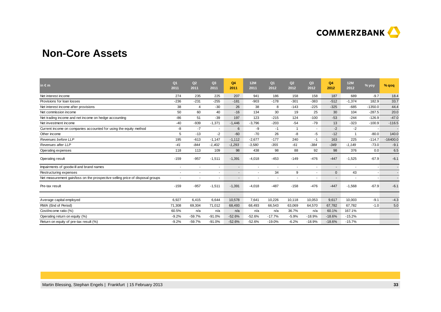

# **Non-Core Assets**

| in $\epsilon$ m                                                               | Q <sub>1</sub><br>2011 | Q2<br>2011     | Q3<br>2011     | Q4<br>2011               | 12M<br>2011    | Q <sub>1</sub><br>2012   | Q2<br>2012              | Q <sub>3</sub><br>2012 | Q4<br>2012               | 12M<br>2012    | % yoy     | $%$ qoq    |
|-------------------------------------------------------------------------------|------------------------|----------------|----------------|--------------------------|----------------|--------------------------|-------------------------|------------------------|--------------------------|----------------|-----------|------------|
| Net interest income                                                           | 274                    | 235            | 225            | 207                      | 941            | 186                      | 158                     | 158                    | 187                      | 689            | $-9.7$    | 18.4       |
| Provisions for loan losses                                                    | $-236$                 | $-231$         | $-255$         | $-181$                   | $-903$         | $-178$                   | $-301$                  | $-383$                 | $-512$                   | $-1,374$       | 182.9     | 33.7       |
| Net interest income after provisions                                          | 38                     | $\overline{4}$ | $-30$          | 26                       | 38             | 8                        | $-143$                  | $-225$                 | $-325$                   | $-685$         | $-1350.0$ | 44.4       |
| Net commission income                                                         | 50                     | 60             | 40             | $-16$                    | 134            | 30                       | 19                      | 25                     | 30                       | 104            | $-287.5$  | 20.0       |
| Net trading income and net income on hedge accounting                         | -86                    | 51             | $-39$          | 197                      | 123            | $-215$                   | 124                     | $-100$                 | $-53$                    | $-244$         | $-126.9$  | $-47.0$    |
| Net investment income                                                         | $-40$                  | $-939$         | $-1,371$       | $-1,446$                 | $-3,796$       | $-203$                   | $-54$                   | $-79$                  | 13                       | $-323$         | $-100.9$  | $-116.5$   |
| Current income on companies accounted for using the equity method             | -8                     | $-7$           | $\blacksquare$ | 6                        | -9             | $-1$                     | $\overline{\mathbf{1}}$ |                        | $-2$                     | $-2$           |           |            |
| Other income                                                                  | 5                      | $-13$          | $-2$           | $-60$                    | $-70$          | 26                       | -8                      | -5                     | $-12$                    | $\overline{1}$ | $-80.0$   | 140.0      |
| Revenues before LLP                                                           | 195                    | $-613$         | $-1,147$       | $-1,112$                 | $-2,677$       | $-177$                   | 240                     | -1                     | 163                      | 225            | $-114.7$  | $-16400.0$ |
| Revenues after LLP                                                            | $-41$                  | $-844$         | $-1,402$       | $-1,293$                 | $-3,580$       | $-355$                   | $-61$                   | $-384$                 | $-349$                   | $-1,149$       | $-73.0$   | $-9.1$     |
| Operating expenses                                                            | 118                    | 113            | 109            | 98                       | 438            | 98                       | 88                      | 92                     | 98                       | 376            | 0.0       | 6.5        |
| Operating result                                                              | $-159$                 | $-957$         | $-1,511$       | $-1,391$                 | $-4,018$       | $-453$                   | $-149$                  | $-476$                 | $-447$                   | $-1,525$       | $-67.9$   | $-6.1$     |
| Impairments of goodwill and brand names                                       |                        |                | ٠              | $\blacksquare$           | ÷              | $\overline{\phantom{a}}$ |                         |                        | $\overline{\phantom{a}}$ | ٠.             |           |            |
| Restructuring expenses                                                        |                        |                | ۰              | $\overline{\phantom{a}}$ | $\blacksquare$ | 34                       | 9                       |                        | $\mathbf{0}$             | 43             |           |            |
| Net measurement gain/loss on the prospective selling price of disposal groups |                        |                | ٠              | $\blacksquare$           |                | $\blacksquare$           |                         |                        | $\blacksquare$           | ٠              |           |            |
| Pre-tax result                                                                | $-159$                 | $-957$         | $-1,511$       | $-1,391$                 | $-4,018$       | $-487$                   | $-158$                  | $-476$                 | $-447$                   | $-1,568$       | $-67.9$   | $-6.1$     |
| Average capital employed                                                      | 6,927                  | 6,415          | 6,644          | 10,578                   | 7,641          | 10,226                   | 10,118                  | 10,053                 | 9,617                    | 10,003         | $-9.1$    | $-4.3$     |
| RWA (End of Period)                                                           | 71,308                 | 69,304         | 71,012         | 68,493                   | 68,493         | 66,543                   | 63,069                  | 64,570                 | 67,782                   | 67,782         | $-1.0$    | 5.0        |
| Cost/income ratio (%)                                                         | 60.5%                  | n/a            | n/a            | n/a                      | n/a            | n/a                      | 36.7%                   | n/a                    | 60.1%                    | 167.1%         |           |            |
|                                                                               | $-9.2%$                | $-59.7%$       | $-91.0%$       | $-52.6%$                 | $-52.6%$       | $-17.7%$                 | $-5.9%$                 | $-18.9%$               | $-18.6%$                 | $-15.2%$       |           |            |
| Operating return on equity (%)                                                |                        |                |                |                          |                |                          |                         |                        |                          |                |           |            |
| Return on equity of pre-tax result (%)                                        | $-9.2%$                | $-59.7%$       | $-91.0%$       | $-52.6%$                 | $-52.6%$       | $-19.0%$                 | $-6.2%$                 | $-18.9%$               | $-18.6%$                 | $-15.7%$       |           |            |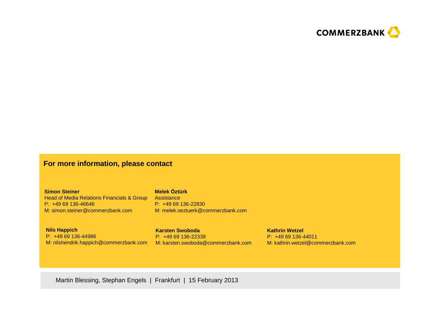

### **For more information, please contact**

**Simon Steiner**Head of Media Relations Financials & Group Assistance P: +49 69 136-46646M: simon.steiner@commerzbank.com

### **Melek Öztürk**

 P: +49 69 136-22830M: melek.oeztuerk@commerzbank.com

**Nils Happich** P: +49 69 136-44986M: nilshendrik.happich@commerzbank.com M: karsten.swoboda@commerzbank.com

**Karsten Swoboda**P: +49 69 136-22339 **Kathrin Wetzel** P: +49 69 136-44011M: kathrin.wetzel@commerzbank.com